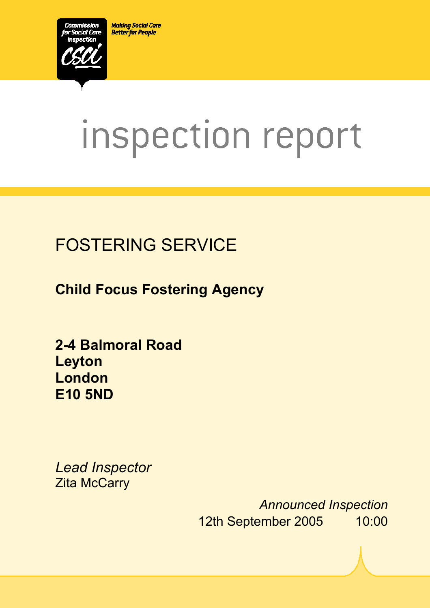**Making Social Care Better for People** 



# inspection report

# FOSTERING SERVICE

**Child Focus Fostering Agency** 

**2-4 Balmoral Road Leyton London E10 5ND** 

*Lead Inspector*  **Zita McCarry** 

> *Announced Inspection* 12th September 2005 10:00

 $X_1$ 10029.doc Version 1.40 Page 1.40 Page 1.40 Page 1.40 Page 1.40 Page 1.40 Page 1.40 Page 1.40 Page 1.40 Page 1.40 Page 1.40 Page 1.40 Page 1.40 Page 1.40 Page 1.40 Page 1.40 Page 1.40 Page 1.40 Page 1.40 Page 1.40 Pag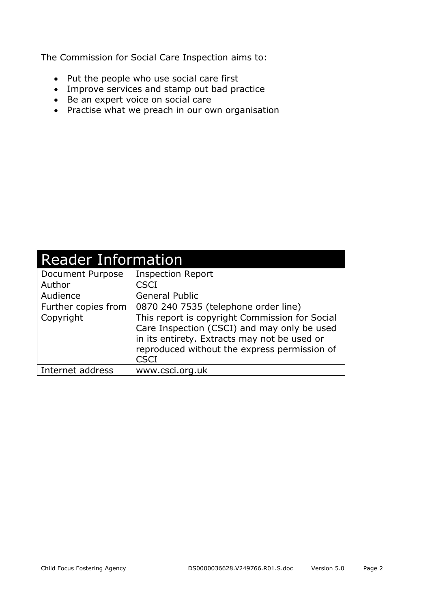The Commission for Social Care Inspection aims to:

- Put the people who use social care first
- Improve services and stamp out bad practice
- Be an expert voice on social care
- Practise what we preach in our own organisation

| <b>Reader Information</b> |                                                                                                                                                                                                              |  |
|---------------------------|--------------------------------------------------------------------------------------------------------------------------------------------------------------------------------------------------------------|--|
| Document Purpose          | <b>Inspection Report</b>                                                                                                                                                                                     |  |
| Author                    | <b>CSCI</b>                                                                                                                                                                                                  |  |
| Audience                  | <b>General Public</b>                                                                                                                                                                                        |  |
| Further copies from       | 0870 240 7535 (telephone order line)                                                                                                                                                                         |  |
| Copyright                 | This report is copyright Commission for Social<br>Care Inspection (CSCI) and may only be used<br>in its entirety. Extracts may not be used or<br>reproduced without the express permission of<br><b>CSCI</b> |  |
| Internet address          | www.csci.org.uk                                                                                                                                                                                              |  |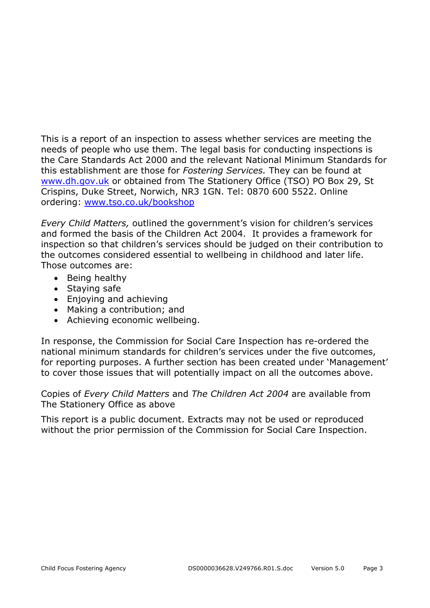This is a report of an inspection to assess whether services are meeting the needs of people who use them. The legal basis for conducting inspections is the Care Standards Act 2000 and the relevant National Minimum Standards for this establishment are those for *Fostering Services.* They can be found at www.dh.gov.uk or obtained from The Stationery Office (TSO) PO Box 29, St Crispins, Duke Street, Norwich, NR3 1GN. Tel: 0870 600 5522. Online ordering: www.tso.co.uk/bookshop

*Every Child Matters,* outlined the government's vision for children's services and formed the basis of the Children Act 2004. It provides a framework for inspection so that children's services should be judged on their contribution to the outcomes considered essential to wellbeing in childhood and later life. Those outcomes are:

- Being healthy
- Staying safe
- Enjoying and achieving
- Making a contribution; and
- Achieving economic wellbeing.

In response, the Commission for Social Care Inspection has re-ordered the national minimum standards for children's services under the five outcomes, for reporting purposes. A further section has been created under 'Management' to cover those issues that will potentially impact on all the outcomes above.

Copies of *Every Child Matters* and *The Children Act 2004* are available from The Stationery Office as above

This report is a public document. Extracts may not be used or reproduced without the prior permission of the Commission for Social Care Inspection.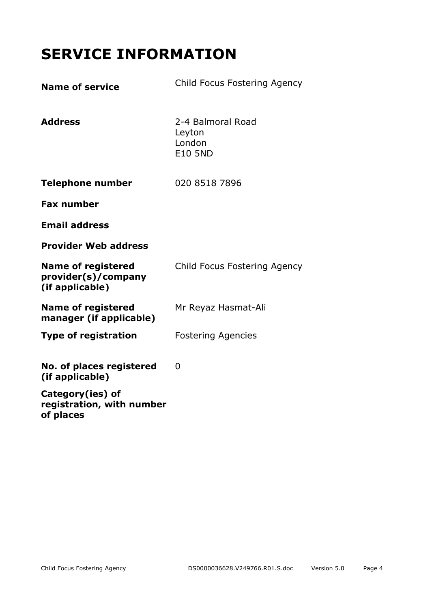# **SERVICE INFORMATION**

| <b>Name of service</b>                                              | Child Focus Fostering Agency                            |
|---------------------------------------------------------------------|---------------------------------------------------------|
| <b>Address</b>                                                      | 2-4 Balmoral Road<br>Leyton<br>London<br><b>E10 5ND</b> |
| <b>Telephone number</b>                                             | 020 8518 7896                                           |
| <b>Fax number</b>                                                   |                                                         |
| <b>Email address</b>                                                |                                                         |
| <b>Provider Web address</b>                                         |                                                         |
| <b>Name of registered</b><br>provider(s)/company<br>(if applicable) | Child Focus Fostering Agency                            |
| <b>Name of registered</b><br>manager (if applicable)                | Mr Reyaz Hasmat-Ali                                     |
| <b>Type of registration</b>                                         | <b>Fostering Agencies</b>                               |
| No. of places registered<br>(if applicable)                         | 0                                                       |
| Category(ies) of<br>registration, with number<br>of places          |                                                         |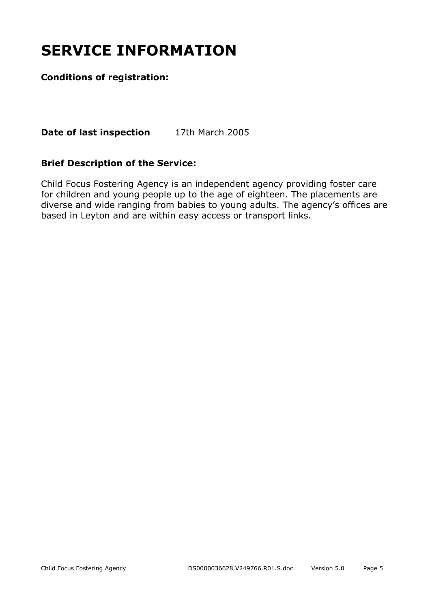# **SERVICE INFORMATION**

#### **Conditions of registration:**

**Date of last inspection** 17th March 2005

#### **Brief Description of the Service:**

Child Focus Fostering Agency is an independent agency providing foster care for children and young people up to the age of eighteen. The placements are diverse and wide ranging from babies to young adults. The agency's offices are based in Leyton and are within easy access or transport links.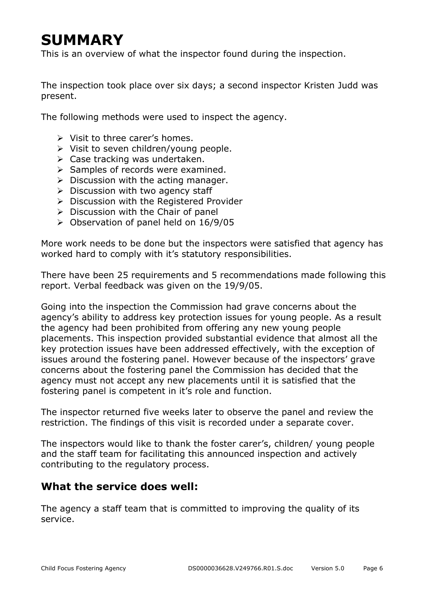# **SUMMARY**

This is an overview of what the inspector found during the inspection.

The inspection took place over six days; a second inspector Kristen Judd was present.

The following methods were used to inspect the agency.

- $\triangleright$  Visit to three carer's homes.
- ¾ Visit to seven children/young people.
- $\triangleright$  Case tracking was undertaken.
- $\triangleright$  Samples of records were examined.
- $\triangleright$  Discussion with the acting manager.
- $\triangleright$  Discussion with two agency staff
- $\triangleright$  Discussion with the Registered Provider
- $\triangleright$  Discussion with the Chair of panel
- $\geq$  Observation of panel held on 16/9/05

More work needs to be done but the inspectors were satisfied that agency has worked hard to comply with it's statutory responsibilities.

There have been 25 requirements and 5 recommendations made following this report. Verbal feedback was given on the 19/9/05.

Going into the inspection the Commission had grave concerns about the agency's ability to address key protection issues for young people. As a result the agency had been prohibited from offering any new young people placements. This inspection provided substantial evidence that almost all the key protection issues have been addressed effectively, with the exception of issues around the fostering panel. However because of the inspectors' grave concerns about the fostering panel the Commission has decided that the agency must not accept any new placements until it is satisfied that the fostering panel is competent in it's role and function.

The inspector returned five weeks later to observe the panel and review the restriction. The findings of this visit is recorded under a separate cover.

The inspectors would like to thank the foster carer's, children/ young people and the staff team for facilitating this announced inspection and actively contributing to the regulatory process.

#### **What the service does well:**

The agency a staff team that is committed to improving the quality of its service.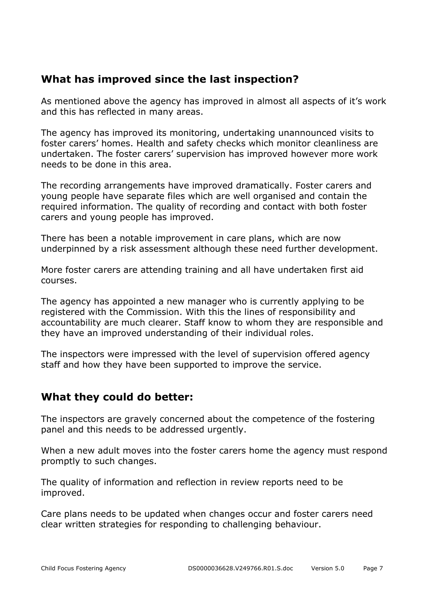#### **What has improved since the last inspection?**

As mentioned above the agency has improved in almost all aspects of it's work and this has reflected in many areas.

The agency has improved its monitoring, undertaking unannounced visits to foster carers' homes. Health and safety checks which monitor cleanliness are undertaken. The foster carers' supervision has improved however more work needs to be done in this area.

The recording arrangements have improved dramatically. Foster carers and young people have separate files which are well organised and contain the required information. The quality of recording and contact with both foster carers and young people has improved.

There has been a notable improvement in care plans, which are now underpinned by a risk assessment although these need further development.

More foster carers are attending training and all have undertaken first aid courses.

The agency has appointed a new manager who is currently applying to be registered with the Commission. With this the lines of responsibility and accountability are much clearer. Staff know to whom they are responsible and they have an improved understanding of their individual roles.

The inspectors were impressed with the level of supervision offered agency staff and how they have been supported to improve the service.

#### **What they could do better:**

The inspectors are gravely concerned about the competence of the fostering panel and this needs to be addressed urgently.

When a new adult moves into the foster carers home the agency must respond promptly to such changes.

The quality of information and reflection in review reports need to be improved.

Care plans needs to be updated when changes occur and foster carers need clear written strategies for responding to challenging behaviour.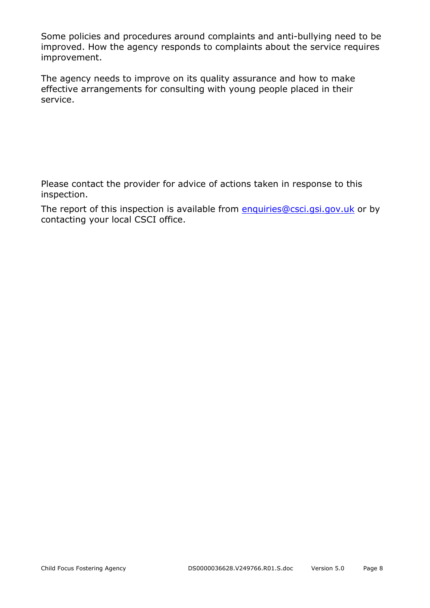Some policies and procedures around complaints and anti-bullying need to be improved. How the agency responds to complaints about the service requires improvement.

The agency needs to improve on its quality assurance and how to make effective arrangements for consulting with young people placed in their service.

Please contact the provider for advice of actions taken in response to this inspection.

The report of this inspection is available from enquiries@csci.gsi.gov.uk or by contacting your local CSCI office.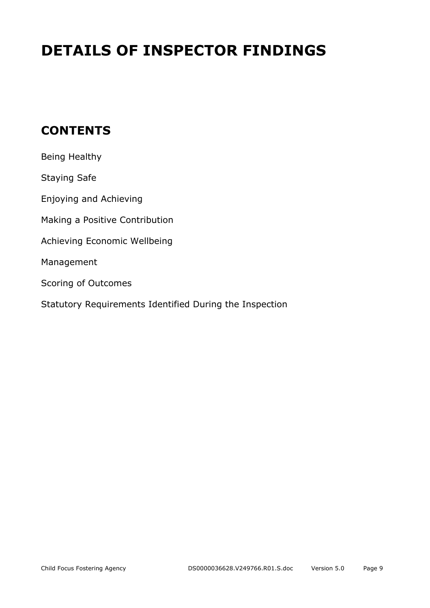# **DETAILS OF INSPECTOR FINDINGS**

## **CONTENTS**

| Being Healthy                                           |
|---------------------------------------------------------|
| <b>Staying Safe</b>                                     |
| Enjoying and Achieving                                  |
| Making a Positive Contribution                          |
| Achieving Economic Wellbeing                            |
| Management                                              |
| Scoring of Outcomes                                     |
| Statutory Requirements Identified During the Inspection |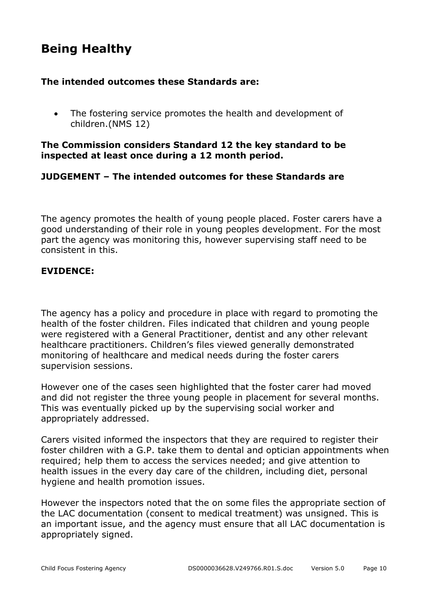## **Being Healthy**

#### **The intended outcomes these Standards are:**

• The fostering service promotes the health and development of children.(NMS 12)

#### **The Commission considers Standard 12 the key standard to be inspected at least once during a 12 month period.**

#### **JUDGEMENT – The intended outcomes for these Standards are**

The agency promotes the health of young people placed. Foster carers have a good understanding of their role in young peoples development. For the most part the agency was monitoring this, however supervising staff need to be consistent in this.

#### **EVIDENCE:**

The agency has a policy and procedure in place with regard to promoting the health of the foster children. Files indicated that children and young people were registered with a General Practitioner, dentist and any other relevant healthcare practitioners. Children's files viewed generally demonstrated monitoring of healthcare and medical needs during the foster carers supervision sessions.

However one of the cases seen highlighted that the foster carer had moved and did not register the three young people in placement for several months. This was eventually picked up by the supervising social worker and appropriately addressed.

Carers visited informed the inspectors that they are required to register their foster children with a G.P. take them to dental and optician appointments when required; help them to access the services needed; and give attention to health issues in the every day care of the children, including diet, personal hygiene and health promotion issues.

However the inspectors noted that the on some files the appropriate section of the LAC documentation (consent to medical treatment) was unsigned. This is an important issue, and the agency must ensure that all LAC documentation is appropriately signed.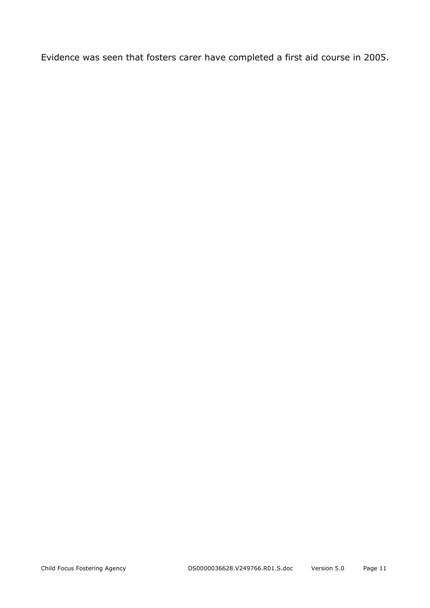Evidence was seen that fosters carer have completed a first aid course in 2005.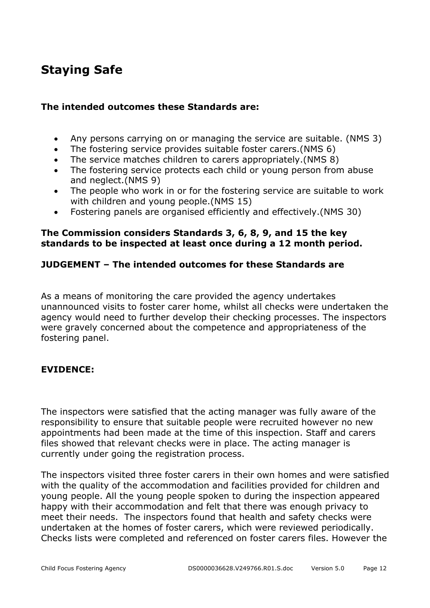## **Staying Safe**

#### **The intended outcomes these Standards are:**

- Any persons carrying on or managing the service are suitable. (NMS 3)
- The fostering service provides suitable foster carers.(NMS 6)
- The service matches children to carers appropriately.(NMS 8)
- The fostering service protects each child or young person from abuse and neglect.(NMS 9)
- The people who work in or for the fostering service are suitable to work with children and young people.(NMS 15)
- Fostering panels are organised efficiently and effectively.(NMS 30)

#### **The Commission considers Standards 3, 6, 8, 9, and 15 the key standards to be inspected at least once during a 12 month period.**

#### **JUDGEMENT – The intended outcomes for these Standards are**

As a means of monitoring the care provided the agency undertakes unannounced visits to foster carer home, whilst all checks were undertaken the agency would need to further develop their checking processes. The inspectors were gravely concerned about the competence and appropriateness of the fostering panel.

#### **EVIDENCE:**

The inspectors were satisfied that the acting manager was fully aware of the responsibility to ensure that suitable people were recruited however no new appointments had been made at the time of this inspection. Staff and carers files showed that relevant checks were in place. The acting manager is currently under going the registration process.

The inspectors visited three foster carers in their own homes and were satisfied with the quality of the accommodation and facilities provided for children and young people. All the young people spoken to during the inspection appeared happy with their accommodation and felt that there was enough privacy to meet their needs. The inspectors found that health and safety checks were undertaken at the homes of foster carers, which were reviewed periodically. Checks lists were completed and referenced on foster carers files. However the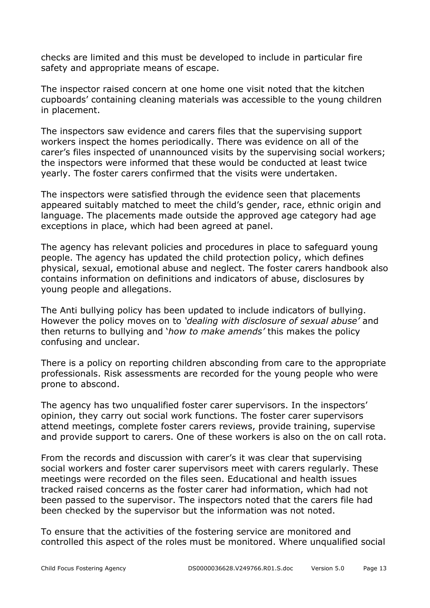checks are limited and this must be developed to include in particular fire safety and appropriate means of escape.

The inspector raised concern at one home one visit noted that the kitchen cupboards' containing cleaning materials was accessible to the young children in placement.

The inspectors saw evidence and carers files that the supervising support workers inspect the homes periodically. There was evidence on all of the carer's files inspected of unannounced visits by the supervising social workers; the inspectors were informed that these would be conducted at least twice yearly. The foster carers confirmed that the visits were undertaken.

The inspectors were satisfied through the evidence seen that placements appeared suitably matched to meet the child's gender, race, ethnic origin and language. The placements made outside the approved age category had age exceptions in place, which had been agreed at panel.

The agency has relevant policies and procedures in place to safeguard young people. The agency has updated the child protection policy, which defines physical, sexual, emotional abuse and neglect. The foster carers handbook also contains information on definitions and indicators of abuse, disclosures by young people and allegations.

The Anti bullying policy has been updated to include indicators of bullying. However the policy moves on to *'dealing with disclosure of sexual abuse'* and then returns to bullying and '*how to make amends'* this makes the policy confusing and unclear.

There is a policy on reporting children absconding from care to the appropriate professionals. Risk assessments are recorded for the young people who were prone to abscond.

The agency has two unqualified foster carer supervisors. In the inspectors' opinion, they carry out social work functions. The foster carer supervisors attend meetings, complete foster carers reviews, provide training, supervise and provide support to carers. One of these workers is also on the on call rota.

From the records and discussion with carer's it was clear that supervising social workers and foster carer supervisors meet with carers regularly. These meetings were recorded on the files seen. Educational and health issues tracked raised concerns as the foster carer had information, which had not been passed to the supervisor. The inspectors noted that the carers file had been checked by the supervisor but the information was not noted.

To ensure that the activities of the fostering service are monitored and controlled this aspect of the roles must be monitored. Where unqualified social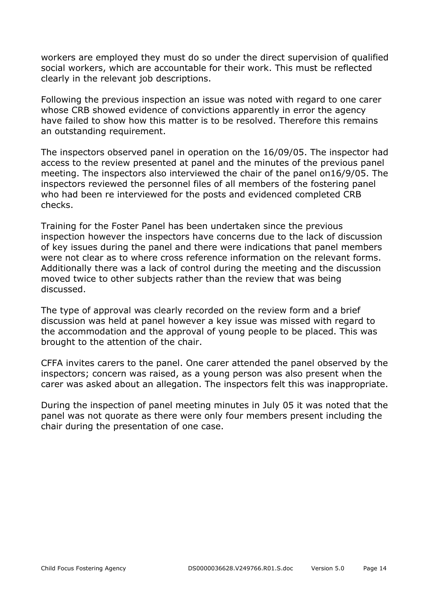workers are employed they must do so under the direct supervision of qualified social workers, which are accountable for their work. This must be reflected clearly in the relevant job descriptions.

Following the previous inspection an issue was noted with regard to one carer whose CRB showed evidence of convictions apparently in error the agency have failed to show how this matter is to be resolved. Therefore this remains an outstanding requirement.

The inspectors observed panel in operation on the 16/09/05. The inspector had access to the review presented at panel and the minutes of the previous panel meeting. The inspectors also interviewed the chair of the panel on16/9/05. The inspectors reviewed the personnel files of all members of the fostering panel who had been re interviewed for the posts and evidenced completed CRB checks.

Training for the Foster Panel has been undertaken since the previous inspection however the inspectors have concerns due to the lack of discussion of key issues during the panel and there were indications that panel members were not clear as to where cross reference information on the relevant forms. Additionally there was a lack of control during the meeting and the discussion moved twice to other subjects rather than the review that was being discussed.

The type of approval was clearly recorded on the review form and a brief discussion was held at panel however a key issue was missed with regard to the accommodation and the approval of young people to be placed. This was brought to the attention of the chair.

CFFA invites carers to the panel. One carer attended the panel observed by the inspectors; concern was raised, as a young person was also present when the carer was asked about an allegation. The inspectors felt this was inappropriate.

During the inspection of panel meeting minutes in July 05 it was noted that the panel was not quorate as there were only four members present including the chair during the presentation of one case.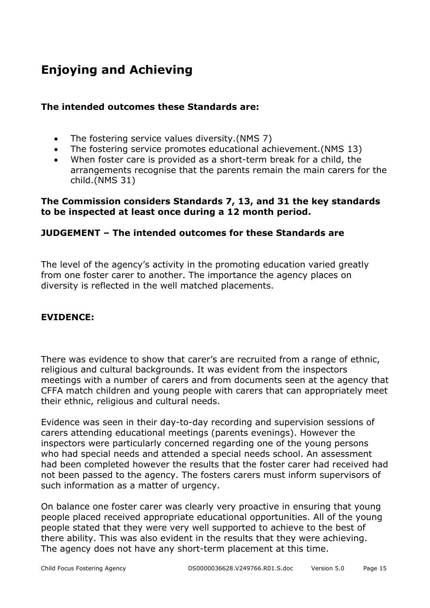# **Enjoying and Achieving**

#### **The intended outcomes these Standards are:**

- The fostering service values diversity.(NMS 7)
- The fostering service promotes educational achievement.(NMS 13)
- When foster care is provided as a short-term break for a child, the arrangements recognise that the parents remain the main carers for the child.(NMS 31)

#### **The Commission considers Standards 7, 13, and 31 the key standards to be inspected at least once during a 12 month period.**

#### **JUDGEMENT – The intended outcomes for these Standards are**

The level of the agency's activity in the promoting education varied greatly from one foster carer to another. The importance the agency places on diversity is reflected in the well matched placements.

#### **EVIDENCE:**

There was evidence to show that carer's are recruited from a range of ethnic, religious and cultural backgrounds. It was evident from the inspectors meetings with a number of carers and from documents seen at the agency that CFFA match children and young people with carers that can appropriately meet their ethnic, religious and cultural needs.

Evidence was seen in their day-to-day recording and supervision sessions of carers attending educational meetings (parents evenings). However the inspectors were particularly concerned regarding one of the young persons who had special needs and attended a special needs school. An assessment had been completed however the results that the foster carer had received had not been passed to the agency. The fosters carers must inform supervisors of such information as a matter of urgency.

On balance one foster carer was clearly very proactive in ensuring that young people placed received appropriate educational opportunities. All of the young people stated that they were very well supported to achieve to the best of there ability. This was also evident in the results that they were achieving. The agency does not have any short-term placement at this time.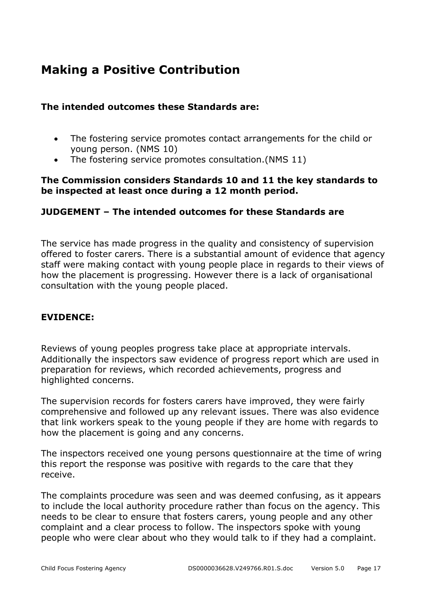## **Making a Positive Contribution**

#### **The intended outcomes these Standards are:**

- The fostering service promotes contact arrangements for the child or young person. (NMS 10)
- The fostering service promotes consultation.(NMS 11)

#### **The Commission considers Standards 10 and 11 the key standards to be inspected at least once during a 12 month period.**

#### **JUDGEMENT – The intended outcomes for these Standards are**

The service has made progress in the quality and consistency of supervision offered to foster carers. There is a substantial amount of evidence that agency staff were making contact with young people place in regards to their views of how the placement is progressing. However there is a lack of organisational consultation with the young people placed.

#### **EVIDENCE:**

Reviews of young peoples progress take place at appropriate intervals. Additionally the inspectors saw evidence of progress report which are used in preparation for reviews, which recorded achievements, progress and highlighted concerns.

The supervision records for fosters carers have improved, they were fairly comprehensive and followed up any relevant issues. There was also evidence that link workers speak to the young people if they are home with regards to how the placement is going and any concerns.

The inspectors received one young persons questionnaire at the time of wring this report the response was positive with regards to the care that they receive.

The complaints procedure was seen and was deemed confusing, as it appears to include the local authority procedure rather than focus on the agency. This needs to be clear to ensure that fosters carers, young people and any other complaint and a clear process to follow. The inspectors spoke with young people who were clear about who they would talk to if they had a complaint.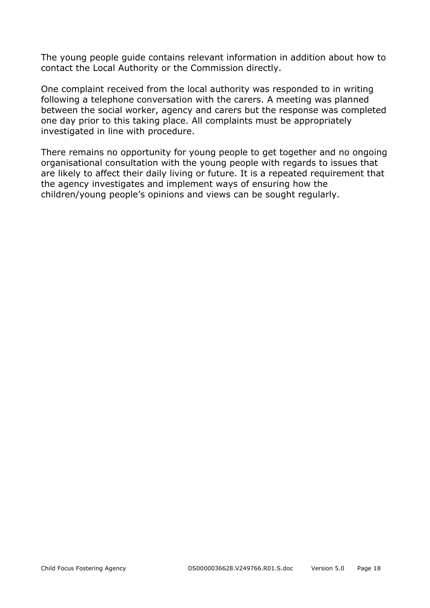The young people guide contains relevant information in addition about how to contact the Local Authority or the Commission directly.

One complaint received from the local authority was responded to in writing following a telephone conversation with the carers. A meeting was planned between the social worker, agency and carers but the response was completed one day prior to this taking place. All complaints must be appropriately investigated in line with procedure.

There remains no opportunity for young people to get together and no ongoing organisational consultation with the young people with regards to issues that are likely to affect their daily living or future. It is a repeated requirement that the agency investigates and implement ways of ensuring how the children/young people's opinions and views can be sought regularly.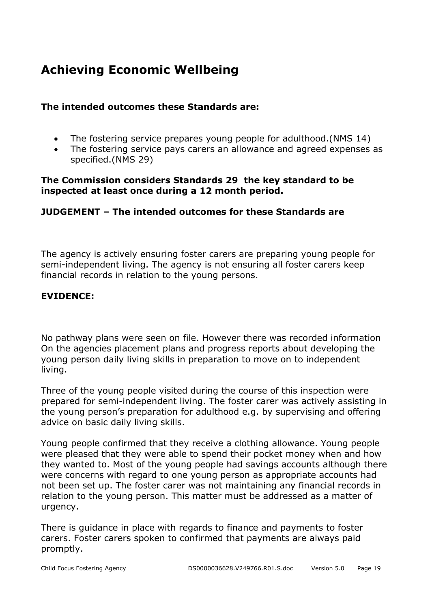## **Achieving Economic Wellbeing**

#### **The intended outcomes these Standards are:**

- The fostering service prepares young people for adulthood.(NMS 14)
- The fostering service pays carers an allowance and agreed expenses as specified.(NMS 29)

#### **The Commission considers Standards 29 the key standard to be inspected at least once during a 12 month period.**

#### **JUDGEMENT – The intended outcomes for these Standards are**

The agency is actively ensuring foster carers are preparing young people for semi-independent living. The agency is not ensuring all foster carers keep financial records in relation to the young persons.

#### **EVIDENCE:**

No pathway plans were seen on file. However there was recorded information On the agencies placement plans and progress reports about developing the young person daily living skills in preparation to move on to independent living.

Three of the young people visited during the course of this inspection were prepared for semi-independent living. The foster carer was actively assisting in the young person's preparation for adulthood e.g. by supervising and offering advice on basic daily living skills.

Young people confirmed that they receive a clothing allowance. Young people were pleased that they were able to spend their pocket money when and how they wanted to. Most of the young people had savings accounts although there were concerns with regard to one young person as appropriate accounts had not been set up. The foster carer was not maintaining any financial records in relation to the young person. This matter must be addressed as a matter of urgency.

There is guidance in place with regards to finance and payments to foster carers. Foster carers spoken to confirmed that payments are always paid promptly.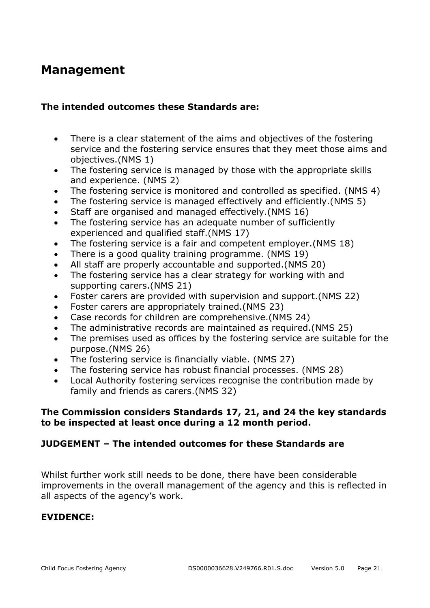### **Management**

#### **The intended outcomes these Standards are:**

- There is a clear statement of the aims and objectives of the fostering service and the fostering service ensures that they meet those aims and objectives.(NMS 1)
- The fostering service is managed by those with the appropriate skills and experience. (NMS 2)
- The fostering service is monitored and controlled as specified. (NMS 4)
- The fostering service is managed effectively and efficiently.(NMS 5)
- Staff are organised and managed effectively.(NMS 16)
- The fostering service has an adequate number of sufficiently experienced and qualified staff.(NMS 17)
- The fostering service is a fair and competent employer.(NMS 18)
- There is a good quality training programme. (NMS 19)
- All staff are properly accountable and supported.(NMS 20)
- The fostering service has a clear strategy for working with and supporting carers.(NMS 21)
- Foster carers are provided with supervision and support.(NMS 22)
- Foster carers are appropriately trained.(NMS 23)
- Case records for children are comprehensive.(NMS 24)
- The administrative records are maintained as required.(NMS 25)
- The premises used as offices by the fostering service are suitable for the purpose.(NMS 26)
- The fostering service is financially viable. (NMS 27)
- The fostering service has robust financial processes. (NMS 28)
- Local Authority fostering services recognise the contribution made by family and friends as carers.(NMS 32)

#### **The Commission considers Standards 17, 21, and 24 the key standards to be inspected at least once during a 12 month period.**

#### **JUDGEMENT – The intended outcomes for these Standards are**

Whilst further work still needs to be done, there have been considerable improvements in the overall management of the agency and this is reflected in all aspects of the agency's work.

#### **EVIDENCE:**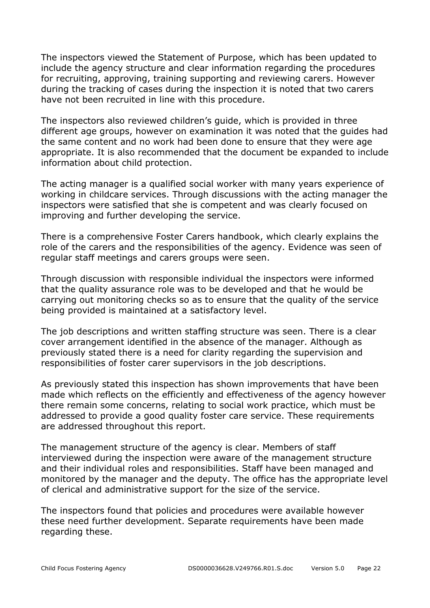The inspectors viewed the Statement of Purpose, which has been updated to include the agency structure and clear information regarding the procedures for recruiting, approving, training supporting and reviewing carers. However during the tracking of cases during the inspection it is noted that two carers have not been recruited in line with this procedure.

The inspectors also reviewed children's guide, which is provided in three different age groups, however on examination it was noted that the guides had the same content and no work had been done to ensure that they were age appropriate. It is also recommended that the document be expanded to include information about child protection.

The acting manager is a qualified social worker with many years experience of working in childcare services. Through discussions with the acting manager the inspectors were satisfied that she is competent and was clearly focused on improving and further developing the service.

There is a comprehensive Foster Carers handbook, which clearly explains the role of the carers and the responsibilities of the agency. Evidence was seen of regular staff meetings and carers groups were seen.

Through discussion with responsible individual the inspectors were informed that the quality assurance role was to be developed and that he would be carrying out monitoring checks so as to ensure that the quality of the service being provided is maintained at a satisfactory level.

The job descriptions and written staffing structure was seen. There is a clear cover arrangement identified in the absence of the manager. Although as previously stated there is a need for clarity regarding the supervision and responsibilities of foster carer supervisors in the job descriptions.

As previously stated this inspection has shown improvements that have been made which reflects on the efficiently and effectiveness of the agency however there remain some concerns, relating to social work practice, which must be addressed to provide a good quality foster care service. These requirements are addressed throughout this report.

The management structure of the agency is clear. Members of staff interviewed during the inspection were aware of the management structure and their individual roles and responsibilities. Staff have been managed and monitored by the manager and the deputy. The office has the appropriate level of clerical and administrative support for the size of the service.

The inspectors found that policies and procedures were available however these need further development. Separate requirements have been made regarding these.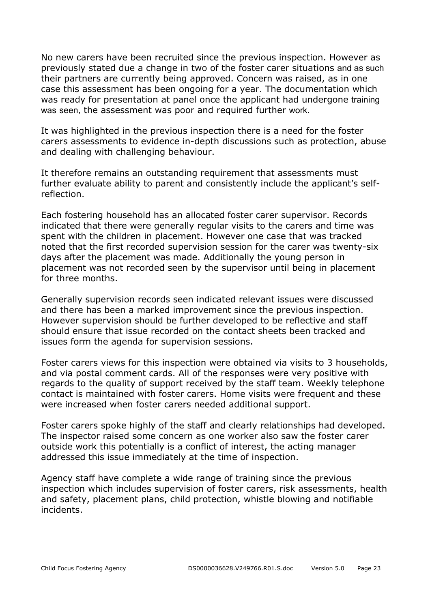No new carers have been recruited since the previous inspection. However as previously stated due a change in two of the foster carer situations and as such their partners are currently being approved. Concern was raised, as in one case this assessment has been ongoing for a year. The documentation which was ready for presentation at panel once the applicant had undergone training was seen, the assessment was poor and required further work.

It was highlighted in the previous inspection there is a need for the foster carers assessments to evidence in-depth discussions such as protection, abuse and dealing with challenging behaviour.

It therefore remains an outstanding requirement that assessments must further evaluate ability to parent and consistently include the applicant's selfreflection.

Each fostering household has an allocated foster carer supervisor. Records indicated that there were generally regular visits to the carers and time was spent with the children in placement. However one case that was tracked noted that the first recorded supervision session for the carer was twenty-six days after the placement was made. Additionally the young person in placement was not recorded seen by the supervisor until being in placement for three months.

Generally supervision records seen indicated relevant issues were discussed and there has been a marked improvement since the previous inspection. However supervision should be further developed to be reflective and staff should ensure that issue recorded on the contact sheets been tracked and issues form the agenda for supervision sessions.

Foster carers views for this inspection were obtained via visits to 3 households, and via postal comment cards. All of the responses were very positive with regards to the quality of support received by the staff team. Weekly telephone contact is maintained with foster carers. Home visits were frequent and these were increased when foster carers needed additional support.

Foster carers spoke highly of the staff and clearly relationships had developed. The inspector raised some concern as one worker also saw the foster carer outside work this potentially is a conflict of interest, the acting manager addressed this issue immediately at the time of inspection.

Agency staff have complete a wide range of training since the previous inspection which includes supervision of foster carers, risk assessments, health and safety, placement plans, child protection, whistle blowing and notifiable incidents.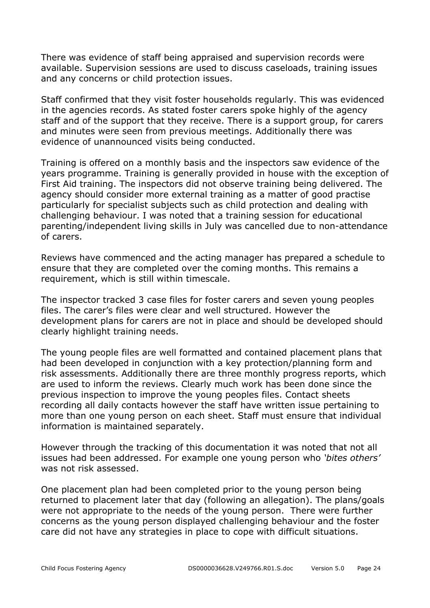There was evidence of staff being appraised and supervision records were available. Supervision sessions are used to discuss caseloads, training issues and any concerns or child protection issues.

Staff confirmed that they visit foster households regularly. This was evidenced in the agencies records. As stated foster carers spoke highly of the agency staff and of the support that they receive. There is a support group, for carers and minutes were seen from previous meetings. Additionally there was evidence of unannounced visits being conducted.

Training is offered on a monthly basis and the inspectors saw evidence of the years programme. Training is generally provided in house with the exception of First Aid training. The inspectors did not observe training being delivered. The agency should consider more external training as a matter of good practise particularly for specialist subjects such as child protection and dealing with challenging behaviour. I was noted that a training session for educational parenting/independent living skills in July was cancelled due to non-attendance of carers.

Reviews have commenced and the acting manager has prepared a schedule to ensure that they are completed over the coming months. This remains a requirement, which is still within timescale.

The inspector tracked 3 case files for foster carers and seven young peoples files. The carer's files were clear and well structured. However the development plans for carers are not in place and should be developed should clearly highlight training needs.

The young people files are well formatted and contained placement plans that had been developed in conjunction with a key protection/planning form and risk assessments. Additionally there are three monthly progress reports, which are used to inform the reviews. Clearly much work has been done since the previous inspection to improve the young peoples files. Contact sheets recording all daily contacts however the staff have written issue pertaining to more than one young person on each sheet. Staff must ensure that individual information is maintained separately.

However through the tracking of this documentation it was noted that not all issues had been addressed. For example one young person who *'bites others'*  was not risk assessed.

One placement plan had been completed prior to the young person being returned to placement later that day (following an allegation). The plans/goals were not appropriate to the needs of the young person. There were further concerns as the young person displayed challenging behaviour and the foster care did not have any strategies in place to cope with difficult situations.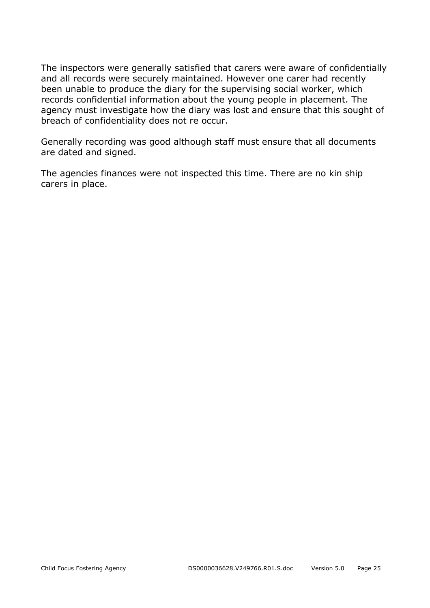The inspectors were generally satisfied that carers were aware of confidentially and all records were securely maintained. However one carer had recently been unable to produce the diary for the supervising social worker, which records confidential information about the young people in placement. The agency must investigate how the diary was lost and ensure that this sought of breach of confidentiality does not re occur.

Generally recording was good although staff must ensure that all documents are dated and signed.

The agencies finances were not inspected this time. There are no kin ship carers in place.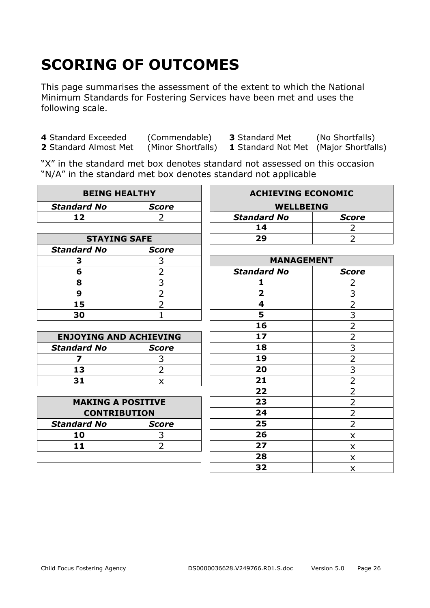# **SCORING OF OUTCOMES**

This page summarises the assessment of the extent to which the National Minimum Standards for Fostering Services have been met and uses the following scale.

**4** Standard Exceeded (Commendable) **3** Standard Met (No Shortfalls)

**1** Standard Not Met (Major Shortfalls)

"X" in the standard met box denotes standard not assessed on this occasion "N/A" in the standard met box denotes standard not applicable

| <b>BEING HEALTHY</b>          |                | <b>ACHIEVING ECONOMIC</b> |                |
|-------------------------------|----------------|---------------------------|----------------|
| <b>Standard No</b>            | <b>Score</b>   | <b>WELLBEING</b>          |                |
| 12                            | 2              | <b>Standard No</b>        | <b>Score</b>   |
|                               |                | 14                        | 2              |
| <b>STAYING SAFE</b>           |                | 29                        | $\overline{2}$ |
| <b>Standard No</b>            | <b>Score</b>   |                           |                |
| 3                             | 3              | <b>MANAGEMENT</b>         |                |
| 6                             | $\overline{2}$ | <b>Standard No</b>        | <b>Score</b>   |
| 8                             | 3              | 1                         | 2              |
| 9                             | $\overline{2}$ | $\overline{\mathbf{2}}$   | 3              |
| 15                            | $\overline{2}$ | 4                         | $\overline{2}$ |
| 30                            | $\overline{1}$ | 5                         | $\overline{3}$ |
|                               |                | 16                        | $\overline{2}$ |
| <b>ENJOYING AND ACHIEVING</b> |                | 17                        | $\overline{2}$ |
| <b>Standard No</b>            | <b>Score</b>   | 18                        | 3              |
| 7                             | 3              | 19                        | $\overline{2}$ |
| 13                            | $\overline{2}$ | 20                        | $\overline{3}$ |
| 31                            | X              | 21                        | $\overline{2}$ |
|                               |                | 22                        | $\overline{2}$ |
| <b>MAKING A POSITIVE</b>      |                | 23                        | $\overline{2}$ |
| <b>CONTRIBUTION</b>           |                | 24                        | $\overline{2}$ |
| <b>Standard No</b>            | <b>Score</b>   | 25                        | $\overline{2}$ |
| 10                            | 3              | 26                        | X              |
| 11                            | $\overline{2}$ | 27                        | X              |
|                               |                | 28                        | X              |
|                               |                | 32                        | X              |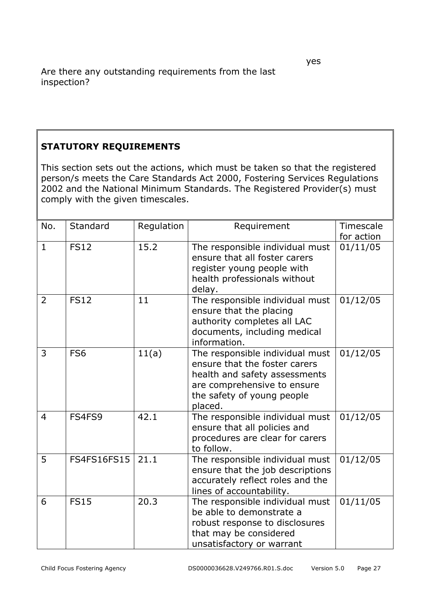#### **STATUTORY REQUIREMENTS**

This section sets out the actions, which must be taken so that the registered person/s meets the Care Standards Act 2000, Fostering Services Regulations 2002 and the National Minimum Standards. The Registered Provider(s) must comply with the given timescales.

| No.            | Standard           | Regulation | Requirement                                                                                                                                                               | Timescale<br>for action |
|----------------|--------------------|------------|---------------------------------------------------------------------------------------------------------------------------------------------------------------------------|-------------------------|
| $\mathbf{1}$   | <b>FS12</b>        | 15.2       | The responsible individual must<br>ensure that all foster carers<br>register young people with<br>health professionals without<br>delay.                                  | 01/11/05                |
| 2              | <b>FS12</b>        | 11         | The responsible individual must<br>ensure that the placing<br>authority completes all LAC<br>documents, including medical<br>information.                                 | 01/12/05                |
| 3              | FS <sub>6</sub>    | 11(a)      | The responsible individual must<br>ensure that the foster carers<br>health and safety assessments<br>are comprehensive to ensure<br>the safety of young people<br>placed. | 01/12/05                |
| $\overline{4}$ | FS4FS9             | 42.1       | The responsible individual must<br>ensure that all policies and<br>procedures are clear for carers<br>to follow.                                                          | 01/12/05                |
| 5              | <b>FS4FS16FS15</b> | 21.1       | The responsible individual must<br>ensure that the job descriptions<br>accurately reflect roles and the<br>lines of accountability.                                       | 01/12/05                |
| 6              | <b>FS15</b>        | 20.3       | The responsible individual must<br>be able to demonstrate a<br>robust response to disclosures<br>that may be considered<br>unsatisfactory or warrant                      | 01/11/05                |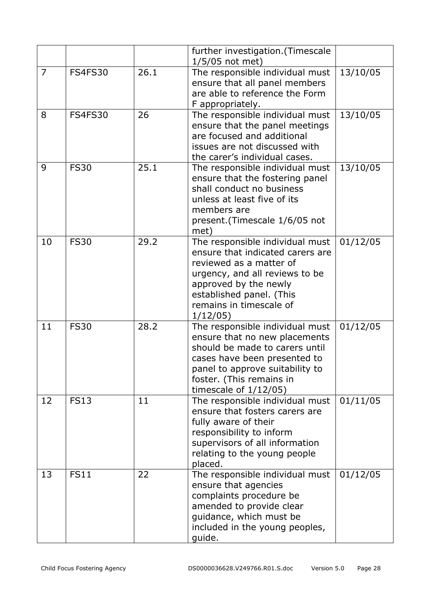|                |                |      | further investigation. (Timescale<br>$1/5/05$ not met)                                                                                                                                                                        |          |
|----------------|----------------|------|-------------------------------------------------------------------------------------------------------------------------------------------------------------------------------------------------------------------------------|----------|
| $\overline{7}$ | <b>FS4FS30</b> | 26.1 | The responsible individual must<br>ensure that all panel members<br>are able to reference the Form<br>F appropriately.                                                                                                        | 13/10/05 |
| 8              | <b>FS4FS30</b> | 26   | The responsible individual must<br>ensure that the panel meetings<br>are focused and additional<br>issues are not discussed with<br>the carer's individual cases.                                                             | 13/10/05 |
| 9              | <b>FS30</b>    | 25.1 | The responsible individual must<br>ensure that the fostering panel<br>shall conduct no business<br>unless at least five of its<br>members are<br>present.(Timescale 1/6/05 not<br>met)                                        | 13/10/05 |
| 10             | <b>FS30</b>    | 29.2 | The responsible individual must<br>ensure that indicated carers are<br>reviewed as a matter of<br>urgency, and all reviews to be<br>approved by the newly<br>established panel. (This<br>remains in timescale of<br>1/12/05   | 01/12/05 |
| 11             | <b>FS30</b>    | 28.2 | The responsible individual must<br>ensure that no new placements<br>should be made to carers until<br>cases have been presented to<br>panel to approve suitability to<br>foster. (This remains in<br>timescale of $1/12/05$ ) | 01/12/05 |
| 12             | <b>FS13</b>    | 11   | The responsible individual must<br>ensure that fosters carers are<br>fully aware of their<br>responsibility to inform<br>supervisors of all information<br>relating to the young people<br>placed.                            | 01/11/05 |
| 13             | <b>FS11</b>    | 22   | The responsible individual must<br>ensure that agencies<br>complaints procedure be<br>amended to provide clear<br>guidance, which must be<br>included in the young peoples,<br>guide.                                         | 01/12/05 |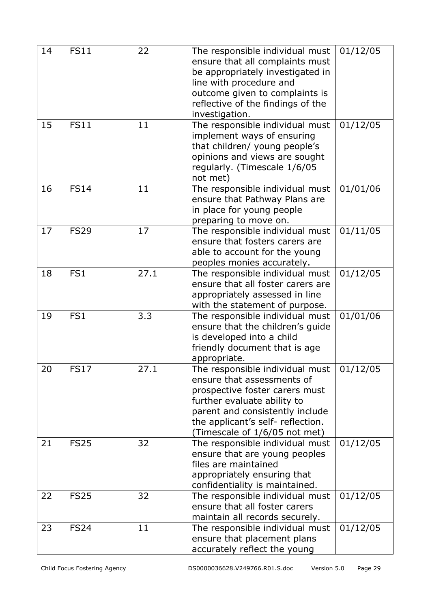| 14 | <b>FS11</b>     | 22   | The responsible individual must<br>ensure that all complaints must<br>be appropriately investigated in<br>line with procedure and<br>outcome given to complaints is<br>reflective of the findings of the<br>investigation.              | 01/12/05            |
|----|-----------------|------|-----------------------------------------------------------------------------------------------------------------------------------------------------------------------------------------------------------------------------------------|---------------------|
| 15 | <b>FS11</b>     | 11   | The responsible individual must<br>implement ways of ensuring<br>that children/ young people's<br>opinions and views are sought<br>regularly. (Timescale 1/6/05<br>not met)                                                             | 01/12/05            |
| 16 | <b>FS14</b>     | 11   | The responsible individual must<br>ensure that Pathway Plans are<br>in place for young people<br>preparing to move on.                                                                                                                  | 01/01/06            |
| 17 | <b>FS29</b>     | 17   | The responsible individual must<br>ensure that fosters carers are<br>able to account for the young<br>peoples monies accurately.                                                                                                        | 01/11/05            |
| 18 | FS1             | 27.1 | The responsible individual must<br>ensure that all foster carers are<br>appropriately assessed in line<br>with the statement of purpose.                                                                                                | 01/12/05            |
| 19 | FS <sub>1</sub> | 3.3  | The responsible individual must<br>ensure that the children's guide<br>is developed into a child<br>friendly document that is age<br>appropriate.                                                                                       | 01/01/06            |
| 20 | <b>FS17</b>     | 27.1 | The responsible individual must<br>ensure that assessments of<br>prospective foster carers must<br>further evaluate ability to<br>parent and consistently include<br>the applicant's self- reflection.<br>(Timescale of 1/6/05 not met) | $\frac{0}{1/12/05}$ |
| 21 | <b>FS25</b>     | 32   | The responsible individual must<br>ensure that are young peoples<br>files are maintained<br>appropriately ensuring that<br>confidentiality is maintained.                                                                               | 01/12/05            |
| 22 | <b>FS25</b>     | 32   | The responsible individual must<br>ensure that all foster carers<br>maintain all records securely.                                                                                                                                      | 01/12/05            |
| 23 | <b>FS24</b>     | 11   | The responsible individual must<br>ensure that placement plans<br>accurately reflect the young                                                                                                                                          | 01/12/05            |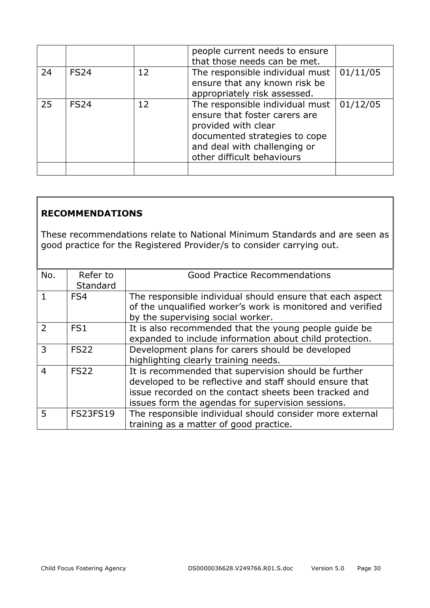|    |             |    | people current needs to ensure<br>that those needs can be met.                                                                                                                         |          |
|----|-------------|----|----------------------------------------------------------------------------------------------------------------------------------------------------------------------------------------|----------|
| 24 | <b>FS24</b> | 12 | The responsible individual must<br>ensure that any known risk be<br>appropriately risk assessed.                                                                                       | 01/11/05 |
| 25 | <b>FS24</b> | 12 | The responsible individual must<br>ensure that foster carers are<br>provided with clear<br>documented strategies to cope<br>and deal with challenging or<br>other difficult behaviours | 01/12/05 |
|    |             |    |                                                                                                                                                                                        |          |

#### **RECOMMENDATIONS**

These recommendations relate to National Minimum Standards and are seen as good practice for the Registered Provider/s to consider carrying out.

| No.            | Refer to<br>Standard | <b>Good Practice Recommendations</b>                                                                                                                                                                                          |
|----------------|----------------------|-------------------------------------------------------------------------------------------------------------------------------------------------------------------------------------------------------------------------------|
|                | FS4                  | The responsible individual should ensure that each aspect<br>of the unqualified worker's work is monitored and verified<br>by the supervising social worker.                                                                  |
| $\overline{2}$ | FS <sub>1</sub>      | It is also recommended that the young people guide be<br>expanded to include information about child protection.                                                                                                              |
| 3              | <b>FS22</b>          | Development plans for carers should be developed<br>highlighting clearly training needs.                                                                                                                                      |
| 4              | <b>FS22</b>          | It is recommended that supervision should be further<br>developed to be reflective and staff should ensure that<br>issue recorded on the contact sheets been tracked and<br>issues form the agendas for supervision sessions. |
| 5              | <b>FS23FS19</b>      | The responsible individual should consider more external<br>training as a matter of good practice.                                                                                                                            |